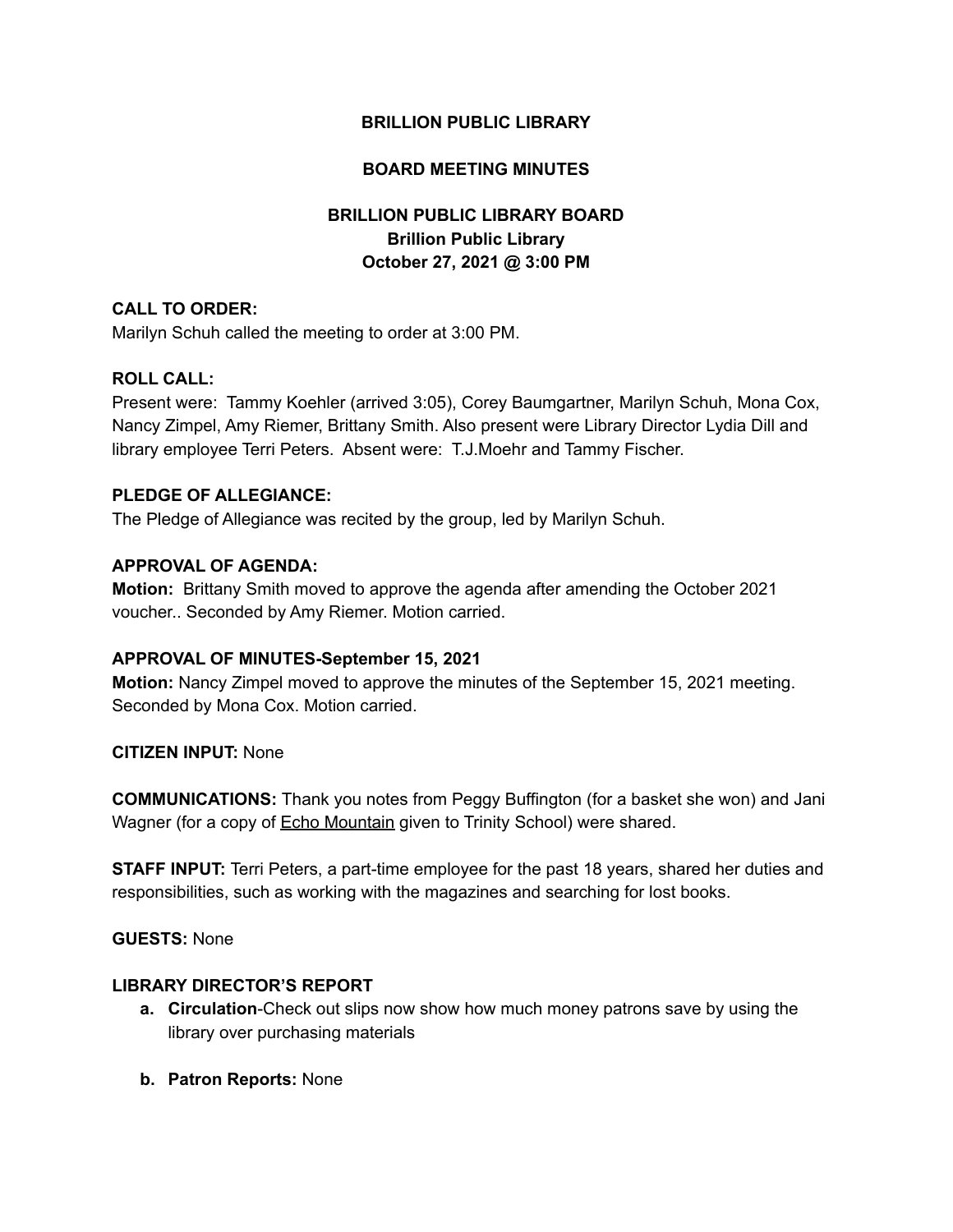# **BRILLION PUBLIC LIBRARY**

# **BOARD MEETING MINUTES**

# **BRILLION PUBLIC LIBRARY BOARD Brillion Public Library October 27, 2021 @ 3:00 PM**

## **CALL TO ORDER:**

Marilyn Schuh called the meeting to order at 3:00 PM.

## **ROLL CALL:**

Present were: Tammy Koehler (arrived 3:05), Corey Baumgartner, Marilyn Schuh, Mona Cox, Nancy Zimpel, Amy Riemer, Brittany Smith. Also present were Library Director Lydia Dill and library employee Terri Peters. Absent were: T.J.Moehr and Tammy Fischer.

#### **PLEDGE OF ALLEGIANCE:**

The Pledge of Allegiance was recited by the group, led by Marilyn Schuh.

## **APPROVAL OF AGENDA:**

**Motion:** Brittany Smith moved to approve the agenda after amending the October 2021 voucher.. Seconded by Amy Riemer. Motion carried.

## **APPROVAL OF MINUTES-September 15, 2021**

**Motion:** Nancy Zimpel moved to approve the minutes of the September 15, 2021 meeting. Seconded by Mona Cox. Motion carried.

#### **CITIZEN INPUT:** None

**COMMUNICATIONS:** Thank you notes from Peggy Buffington (for a basket she won) and Jani Wagner (for a copy of Echo Mountain given to Trinity School) were shared.

**STAFF INPUT:** Terri Peters, a part-time employee for the past 18 years, shared her duties and responsibilities, such as working with the magazines and searching for lost books.

**GUESTS:** None

#### **LIBRARY DIRECTOR'S REPORT**

- **a. Circulation**-Check out slips now show how much money patrons save by using the library over purchasing materials
- **b. Patron Reports:** None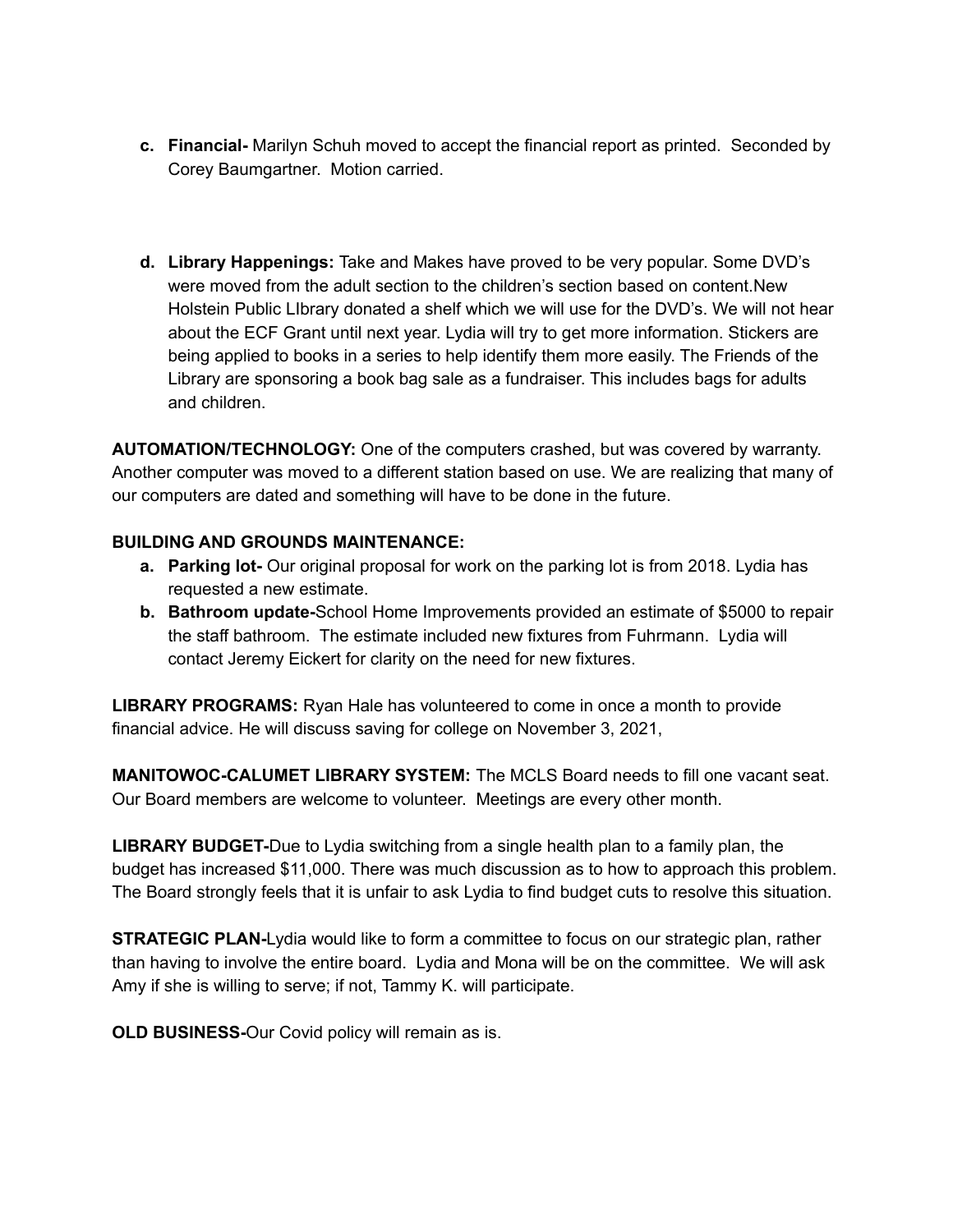- **c. Financial-** Marilyn Schuh moved to accept the financial report as printed. Seconded by Corey Baumgartner. Motion carried.
- **d. Library Happenings:** Take and Makes have proved to be very popular. Some DVD's were moved from the adult section to the children's section based on content.New Holstein Public LIbrary donated a shelf which we will use for the DVD's. We will not hear about the ECF Grant until next year. Lydia will try to get more information. Stickers are being applied to books in a series to help identify them more easily. The Friends of the Library are sponsoring a book bag sale as a fundraiser. This includes bags for adults and children.

**AUTOMATION/TECHNOLOGY:** One of the computers crashed, but was covered by warranty. Another computer was moved to a different station based on use. We are realizing that many of our computers are dated and something will have to be done in the future.

# **BUILDING AND GROUNDS MAINTENANCE:**

- **a. Parking lot-** Our original proposal for work on the parking lot is from 2018. Lydia has requested a new estimate.
- **b. Bathroom update-**School Home Improvements provided an estimate of \$5000 to repair the staff bathroom. The estimate included new fixtures from Fuhrmann. Lydia will contact Jeremy Eickert for clarity on the need for new fixtures.

**LIBRARY PROGRAMS:** Ryan Hale has volunteered to come in once a month to provide financial advice. He will discuss saving for college on November 3, 2021,

**MANITOWOC-CALUMET LIBRARY SYSTEM:** The MCLS Board needs to fill one vacant seat. Our Board members are welcome to volunteer. Meetings are every other month.

**LIBRARY BUDGET-**Due to Lydia switching from a single health plan to a family plan, the budget has increased \$11,000. There was much discussion as to how to approach this problem. The Board strongly feels that it is unfair to ask Lydia to find budget cuts to resolve this situation.

**STRATEGIC PLAN-**Lydia would like to form a committee to focus on our strategic plan, rather than having to involve the entire board. Lydia and Mona will be on the committee. We will ask Amy if she is willing to serve; if not, Tammy K. will participate.

**OLD BUSINESS-**Our Covid policy will remain as is.